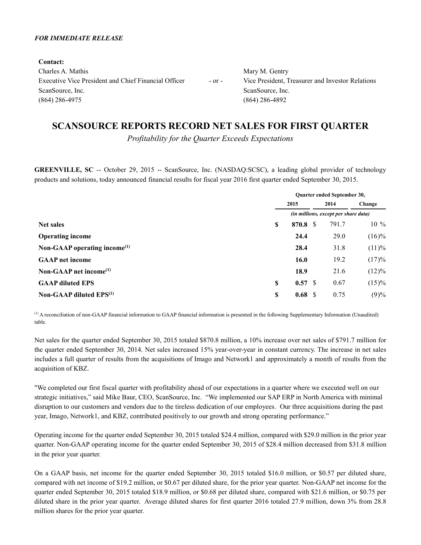# *FOR IMMEDIATE RELEASE*

**Contact:** Charles A. Mathis Mary M. Gentry Executive Vice President and Chief Financial Officer - or - Vice President, Treasurer and Investor Relations ScanSource, Inc. ScanSource, Inc. (864) 286-4975 (864) 286-4892

# **SCANSOURCE REPORTS RECORD NET SALES FOR FIRST QUARTER**

*Profitability for the Quarter Exceeds Expectations*

**GREENVILLE, SC** -- October 29, 2015 -- ScanSource, Inc. (NASDAQ:SCSC), a leading global provider of technology products and solutions, today announced financial results for fiscal year 2016 first quarter ended September 30, 2015.

|                                    | <b>Ouarter ended September 30,</b> |                                      |          |  |  |  |
|------------------------------------|------------------------------------|--------------------------------------|----------|--|--|--|
|                                    | 2015                               | 2014                                 | Change   |  |  |  |
|                                    |                                    | (in millions, except per share data) |          |  |  |  |
| <b>Net sales</b>                   | \$<br>870.8                        | 791.7<br>-S                          | $10\%$   |  |  |  |
| <b>Operating income</b>            | 24.4                               | 29.0                                 | $(16)\%$ |  |  |  |
| Non-GAAP operating income $^{(1)}$ | 28.4                               | 31.8                                 | (11)%    |  |  |  |
| <b>GAAP</b> net income             | 16.0                               | 19.2                                 | (17)%    |  |  |  |
| Non-GAAP net income $^{(1)}$       | 18.9                               | 21.6                                 | $(12)\%$ |  |  |  |
| <b>GAAP</b> diluted EPS            | \$<br>0.57                         | 0.67<br>- \$                         | (15)%    |  |  |  |
| Non-GAAP diluted $EPS^{(1)}$       | \$<br>0.68                         | 0.75<br>- S                          | (9)%     |  |  |  |

(1) A reconciliation of non-GAAP financial information to GAAP financial information is presented in the following Supplementary Information (Unaudited) table.

Net sales for the quarter ended September 30, 2015 totaled \$870.8 million, a 10% increase over net sales of \$791.7 million for the quarter ended September 30, 2014. Net sales increased 15% year-over-year in constant currency. The increase in net sales includes a full quarter of results from the acquisitions of Imago and Network1 and approximately a month of results from the acquisition of KBZ.

"We completed our first fiscal quarter with profitability ahead of our expectations in a quarter where we executed well on our strategic initiatives," said Mike Baur, CEO, ScanSource, Inc. "We implemented our SAP ERP in North America with minimal disruption to our customers and vendors due to the tireless dedication of our employees. Our three acquisitions during the past year, Imago, Network1, and KBZ, contributed positively to our growth and strong operating performance."

Operating income for the quarter ended September 30, 2015 totaled \$24.4 million, compared with \$29.0 million in the prior year quarter. Non-GAAP operating income for the quarter ended September 30, 2015 of \$28.4 million decreased from \$31.8 million in the prior year quarter.

On a GAAP basis, net income for the quarter ended September 30, 2015 totaled \$16.0 million, or \$0.57 per diluted share, compared with net income of \$19.2 million, or \$0.67 per diluted share, for the prior year quarter. Non-GAAP net income for the quarter ended September 30, 2015 totaled \$18.9 million, or \$0.68 per diluted share, compared with \$21.6 million, or \$0.75 per diluted share in the prior year quarter. Average diluted shares for first quarter 2016 totaled 27.9 million, down 3% from 28.8 million shares for the prior year quarter.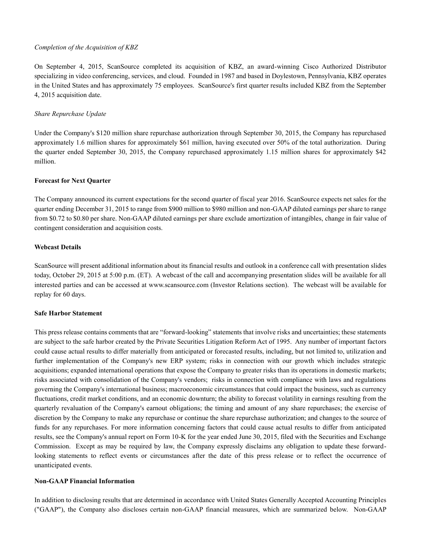### *Completion of the Acquisition of KBZ*

On September 4, 2015, ScanSource completed its acquisition of KBZ, an award-winning Cisco Authorized Distributor specializing in video conferencing, services, and cloud. Founded in 1987 and based in Doylestown, Pennsylvania, KBZ operates in the United States and has approximately 75 employees. ScanSource's first quarter results included KBZ from the September 4, 2015 acquisition date.

# *Share Repurchase Update*

Under the Company's \$120 million share repurchase authorization through September 30, 2015, the Company has repurchased approximately 1.6 million shares for approximately \$61 million, having executed over 50% of the total authorization. During the quarter ended September 30, 2015, the Company repurchased approximately 1.15 million shares for approximately \$42 million.

## **Forecast for Next Quarter**

The Company announced its current expectations for the second quarter of fiscal year 2016. ScanSource expects net sales for the quarter ending December 31, 2015 to range from \$900 million to \$980 million and non-GAAP diluted earnings per share to range from \$0.72 to \$0.80 per share. Non-GAAP diluted earnings per share exclude amortization of intangibles, change in fair value of contingent consideration and acquisition costs.

## **Webcast Details**

ScanSource will present additional information about its financial results and outlook in a conference call with presentation slides today, October 29, 2015 at 5:00 p.m. (ET). A webcast of the call and accompanying presentation slides will be available for all interested parties and can be accessed at www.scansource.com (Investor Relations section). The webcast will be available for replay for 60 days.

## **Safe Harbor Statement**

This press release contains comments that are "forward-looking" statements that involve risks and uncertainties; these statements are subject to the safe harbor created by the Private Securities Litigation Reform Act of 1995. Any number of important factors could cause actual results to differ materially from anticipated or forecasted results, including, but not limited to, utilization and further implementation of the Company's new ERP system; risks in connection with our growth which includes strategic acquisitions; expanded international operations that expose the Company to greater risks than its operations in domestic markets; risks associated with consolidation of the Company's vendors; risks in connection with compliance with laws and regulations governing the Company's international business; macroeconomic circumstances that could impact the business, such as currency fluctuations, credit market conditions, and an economic downturn; the ability to forecast volatility in earnings resulting from the quarterly revaluation of the Company's earnout obligations; the timing and amount of any share repurchases; the exercise of discretion by the Company to make any repurchase or continue the share repurchase authorization; and changes to the source of funds for any repurchases. For more information concerning factors that could cause actual results to differ from anticipated results, see the Company's annual report on Form 10-K for the year ended June 30, 2015, filed with the Securities and Exchange Commission. Except as may be required by law, the Company expressly disclaims any obligation to update these forwardlooking statements to reflect events or circumstances after the date of this press release or to reflect the occurrence of unanticipated events.

## **Non-GAAP Financial Information**

In addition to disclosing results that are determined in accordance with United States Generally Accepted Accounting Principles ("GAAP"), the Company also discloses certain non-GAAP financial measures, which are summarized below. Non-GAAP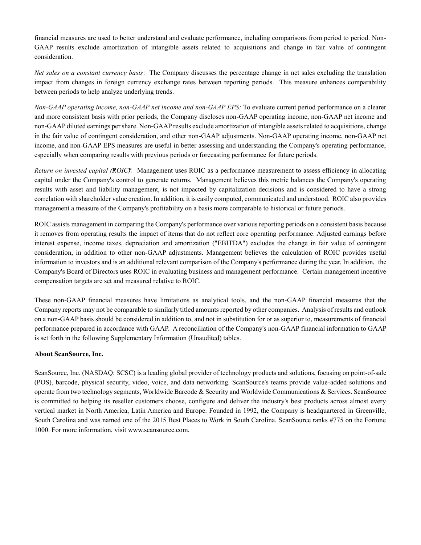financial measures are used to better understand and evaluate performance, including comparisons from period to period. Non-GAAP results exclude amortization of intangible assets related to acquisitions and change in fair value of contingent consideration.

*Net sales on a constant currency basis*: The Company discusses the percentage change in net sales excluding the translation impact from changes in foreign currency exchange rates between reporting periods. This measure enhances comparability between periods to help analyze underlying trends.

*Non-GAAP operating income, non-GAAP net income and non-GAAP EPS:* To evaluate current period performance on a clearer and more consistent basis with prior periods, the Company discloses non-GAAP operating income, non-GAAP net income and non-GAAP diluted earnings per share. Non-GAAP results exclude amortization of intangible assets related to acquisitions, change in the fair value of contingent consideration, and other non-GAAP adjustments. Non-GAAP operating income, non-GAAP net income, and non-GAAP EPS measures are useful in better assessing and understanding the Company's operating performance, especially when comparing results with previous periods or forecasting performance for future periods.

*Return on invested capital ("ROIC"):* Management uses ROIC as a performance measurement to assess efficiency in allocating capital under the Company's control to generate returns. Management believes this metric balances the Company's operating results with asset and liability management, is not impacted by capitalization decisions and is considered to have a strong correlation with shareholder value creation. In addition, it is easily computed, communicated and understood. ROIC also provides management a measure of the Company's profitability on a basis more comparable to historical or future periods.

ROIC assists management in comparing the Company's performance over various reporting periods on a consistent basis because it removes from operating results the impact of items that do not reflect core operating performance. Adjusted earnings before interest expense, income taxes, depreciation and amortization ("EBITDA") excludes the change in fair value of contingent consideration, in addition to other non-GAAP adjustments. Management believes the calculation of ROIC provides useful information to investors and is an additional relevant comparison of the Company's performance during the year. In addition, the Company's Board of Directors uses ROIC in evaluating business and management performance. Certain management incentive compensation targets are set and measured relative to ROIC.

These non-GAAP financial measures have limitations as analytical tools, and the non-GAAP financial measures that the Company reports may not be comparable to similarly titled amounts reported by other companies. Analysis of results and outlook on a non-GAAP basis should be considered in addition to, and not in substitution for or as superior to, measurements of financial performance prepared in accordance with GAAP. A reconciliation of the Company's non-GAAP financial information to GAAP is set forth in the following Supplementary Information (Unaudited) tables.

# **About ScanSource, Inc.**

ScanSource, Inc. (NASDAQ: SCSC) is a leading global provider of technology products and solutions, focusing on point-of-sale (POS), barcode, physical security, video, voice, and data networking. ScanSource's teams provide value-added solutions and operate from two technology segments, Worldwide Barcode & Security and Worldwide Communications & Services. ScanSource is committed to helping its reseller customers choose, configure and deliver the industry's best products across almost every vertical market in North America, Latin America and Europe. Founded in 1992, the Company is headquartered in Greenville, South Carolina and was named one of the 2015 Best Places to Work in South Carolina. ScanSource ranks #775 on the Fortune 1000. For more information, visit www.scansource.com.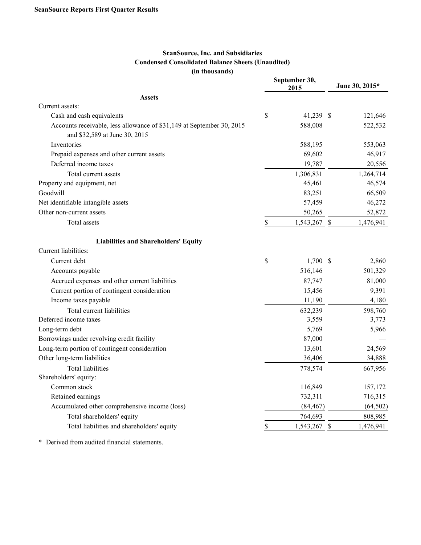# **ScanSource, Inc. and Subsidiaries Condensed Consolidated Balance Sheets (Unaudited) (in thousands)**

|                                                                                                        | September 30,<br>2015 | June 30, 2015* |           |  |  |  |
|--------------------------------------------------------------------------------------------------------|-----------------------|----------------|-----------|--|--|--|
| <b>Assets</b>                                                                                          |                       |                |           |  |  |  |
| Current assets:                                                                                        |                       |                |           |  |  |  |
| Cash and cash equivalents                                                                              | \$<br>41,239 \$       |                | 121,646   |  |  |  |
| Accounts receivable, less allowance of \$31,149 at September 30, 2015<br>and \$32,589 at June 30, 2015 | 588,008               |                | 522,532   |  |  |  |
| Inventories                                                                                            | 588,195               |                | 553,063   |  |  |  |
| Prepaid expenses and other current assets                                                              | 69,602                |                | 46,917    |  |  |  |
| Deferred income taxes                                                                                  | 19,787                |                | 20,556    |  |  |  |
| Total current assets                                                                                   | 1,306,831             |                | 1,264,714 |  |  |  |
| Property and equipment, net                                                                            | 45,461                |                | 46,574    |  |  |  |
| Goodwill                                                                                               | 83,251                |                | 66,509    |  |  |  |
| Net identifiable intangible assets                                                                     | 57,459                |                | 46,272    |  |  |  |
| Other non-current assets                                                                               | 50,265                |                | 52,872    |  |  |  |
| <b>Total assets</b>                                                                                    | \$<br>1,543,267 \$    |                | 1,476,941 |  |  |  |
| <b>Liabilities and Shareholders' Equity</b>                                                            |                       |                |           |  |  |  |
| Current liabilities:                                                                                   |                       |                |           |  |  |  |
| Current debt                                                                                           | \$<br>$1,700$ \$      |                | 2,860     |  |  |  |
| Accounts payable                                                                                       | 516,146               |                | 501,329   |  |  |  |
| Accrued expenses and other current liabilities                                                         | 87,747                |                | 81,000    |  |  |  |
| Current portion of contingent consideration                                                            | 15,456                |                | 9,391     |  |  |  |
| Income taxes payable                                                                                   | 11,190                |                | 4,180     |  |  |  |
| Total current liabilities                                                                              | 632,239               |                | 598,760   |  |  |  |
| Deferred income taxes                                                                                  | 3,559                 |                | 3,773     |  |  |  |
| Long-term debt                                                                                         | 5,769                 |                | 5,966     |  |  |  |
| Borrowings under revolving credit facility                                                             | 87,000                |                |           |  |  |  |
| Long-term portion of contingent consideration                                                          | 13,601                |                | 24,569    |  |  |  |
| Other long-term liabilities                                                                            | 36,406                |                | 34,888    |  |  |  |
| <b>Total liabilities</b>                                                                               | 778,574               |                | 667,956   |  |  |  |
| Shareholders' equity:                                                                                  |                       |                |           |  |  |  |
| Common stock                                                                                           | 116,849               |                | 157,172   |  |  |  |
| Retained earnings                                                                                      | 732,311               |                | 716,315   |  |  |  |
| Accumulated other comprehensive income (loss)                                                          | (84, 467)             |                | (64, 502) |  |  |  |
| Total shareholders' equity                                                                             | 764,693               |                | 808,985   |  |  |  |
| Total liabilities and shareholders' equity                                                             | \$<br>1,543,267 \$    |                | 1,476,941 |  |  |  |

\* Derived from audited financial statements.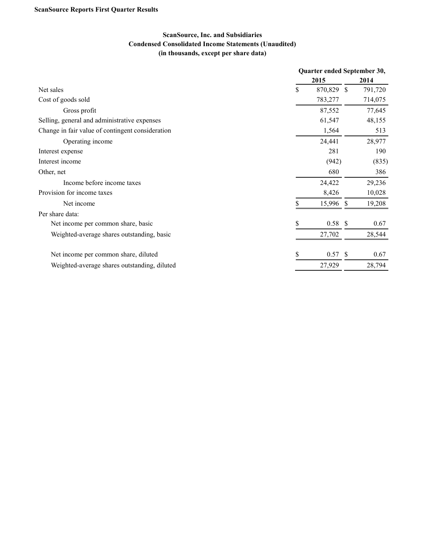# **ScanSource, Inc. and Subsidiaries Condensed Consolidated Income Statements (Unaudited) (in thousands, except per share data)**

|                                                  | Quarter ended September 30, |            |              |         |  |
|--------------------------------------------------|-----------------------------|------------|--------------|---------|--|
|                                                  |                             | 2015       |              | 2014    |  |
| Net sales                                        | \$                          | 870,829 \$ |              | 791,720 |  |
| Cost of goods sold                               |                             | 783,277    |              | 714,075 |  |
| Gross profit                                     |                             | 87,552     |              | 77,645  |  |
| Selling, general and administrative expenses     |                             | 61,547     |              | 48,155  |  |
| Change in fair value of contingent consideration |                             | 1,564      |              | 513     |  |
| Operating income                                 |                             | 24,441     |              | 28,977  |  |
| Interest expense                                 |                             | 281        |              | 190     |  |
| Interest income                                  |                             | (942)      |              | (835)   |  |
| Other, net                                       |                             | 680        |              | 386     |  |
| Income before income taxes                       |                             | 24,422     |              | 29,236  |  |
| Provision for income taxes                       |                             | 8,426      |              | 10,028  |  |
| Net income                                       | S                           | 15,996     | <sup>S</sup> | 19,208  |  |
| Per share data:                                  |                             |            |              |         |  |
| Net income per common share, basic               | \$                          | $0.58$ \$  |              | 0.67    |  |
| Weighted-average shares outstanding, basic       |                             | 27,702     |              | 28,544  |  |
| Net income per common share, diluted             | \$                          | $0.57$ \$  |              | 0.67    |  |
| Weighted-average shares outstanding, diluted     |                             | 27,929     |              | 28,794  |  |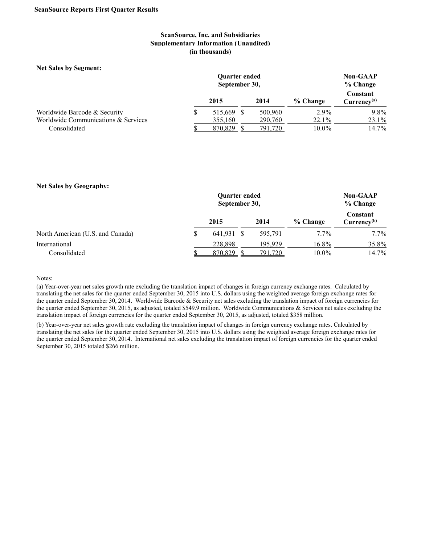# **ScanSource, Inc. and Subsidiaries Supplementary Information (Unaudited) (in thousands)**

#### **Net Sales by Segment:**

|                                                                     | <b>Ouarter ended</b><br>September 30, |                       |                    |                     | <b>Non-GAAP</b><br>% Change  |
|---------------------------------------------------------------------|---------------------------------------|-----------------------|--------------------|---------------------|------------------------------|
|                                                                     |                                       | 2015                  | 2014               | % Change            | Constant<br>$Currency^{(a)}$ |
| Worldwide Barcode & Security<br>Worldwide Communications & Services |                                       | 515.669 \$<br>355,160 | 500.960<br>290,760 | $2.9\%$<br>$22.1\%$ | $9.8\%$<br>23.1%             |
| Consolidated                                                        |                                       | 870.829               | 791,720            | $10.0\%$            | 14.7%                        |

#### **Net Sales by Geography:**

|                                  | <b>Ouarter ended</b><br>September 30, |                    |  |                    |                   | <b>Non-GAAP</b><br>% Change         |
|----------------------------------|---------------------------------------|--------------------|--|--------------------|-------------------|-------------------------------------|
|                                  |                                       | 2015               |  | 2014               | % Change          | Constant<br>Currence <sub>(b)</sub> |
| North American (U.S. and Canada) | S                                     | 641,931 \$         |  | 595.791            | $7.7\%$           | $7.7\%$                             |
| International<br>Consolidated    |                                       | 228,898<br>870.829 |  | 195,929<br>791.720 | 16.8%<br>$10.0\%$ | 35.8%<br>14.7%                      |

Notes:

(a) Year-over-year net sales growth rate excluding the translation impact of changes in foreign currency exchange rates. Calculated by translating the net sales for the quarter ended September 30, 2015 into U.S. dollars using the weighted average foreign exchange rates for the quarter ended September 30, 2014. Worldwide Barcode & Security net sales excluding the translation impact of foreign currencies for the quarter ended September 30, 2015, as adjusted, totaled \$549.9 million. Worldwide Communications & Services net sales excluding the translation impact of foreign currencies for the quarter ended September 30, 2015, as adjusted, totaled \$358 million.

(b) Year-over-year net sales growth rate excluding the translation impact of changes in foreign currency exchange rates. Calculated by translating the net sales for the quarter ended September 30, 2015 into U.S. dollars using the weighted average foreign exchange rates for the quarter ended September 30, 2014. International net sales excluding the translation impact of foreign currencies for the quarter ended September 30, 2015 totaled \$266 million.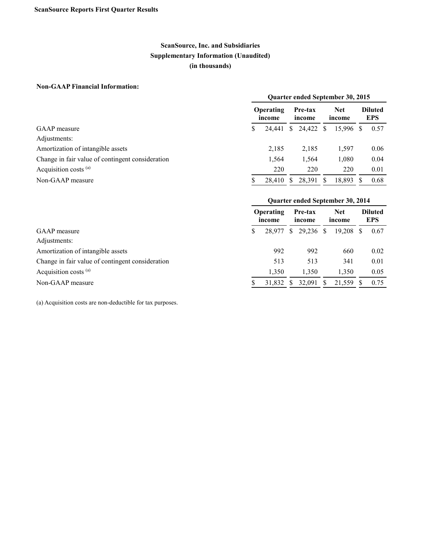# **ScanSource, Inc. and Subsidiaries Supplementary Information (Unaudited) (in thousands)**

# **Non-GAAP Financial Information:**

|                                                  | Quarter ended September 30, 2015 |                     |              |                   |    |                      |     |                              |
|--------------------------------------------------|----------------------------------|---------------------|--------------|-------------------|----|----------------------|-----|------------------------------|
|                                                  |                                  | Operating<br>income |              | Pre-tax<br>income |    | <b>Net</b><br>income |     | <b>Diluted</b><br><b>EPS</b> |
| GAAP measure                                     | \$                               | 24.441              | <sup>S</sup> | 24,422            | -S | 15,996               | - S | 0.57                         |
| Adjustments:                                     |                                  |                     |              |                   |    |                      |     |                              |
| Amortization of intangible assets                |                                  | 2,185               |              | 2,185             |    | 1,597                |     | 0.06                         |
| Change in fair value of contingent consideration |                                  | 1,564               |              | 1,564             |    | 1,080                |     | 0.04                         |
| Acquisition costs (a)                            |                                  | 220                 |              | 220               |    | 220                  |     | 0.01                         |
| Non-GAAP measure                                 |                                  | 28,410              |              | 28.391            | S  | 18,893               |     | 0.68                         |

|                                                  | Quarter ended September 30, 2014 |        |                   |        |                      |        |                              |      |
|--------------------------------------------------|----------------------------------|--------|-------------------|--------|----------------------|--------|------------------------------|------|
|                                                  | <b>Operating</b><br>income       |        | Pre-tax<br>income |        | <b>Net</b><br>income |        | <b>Diluted</b><br><b>EPS</b> |      |
| GAAP measure                                     | S.                               | 28,977 | <sup>S</sup>      | 29,236 | -S                   | 19.208 | -S                           | 0.67 |
| Adjustments:                                     |                                  |        |                   |        |                      |        |                              |      |
| Amortization of intangible assets                |                                  | 992    |                   | 992    |                      | 660    |                              | 0.02 |
| Change in fair value of contingent consideration |                                  | 513    |                   | 513    |                      | 341    |                              | 0.01 |
| Acquisition costs (a)                            |                                  | 1,350  |                   | 1.350  |                      | 1,350  |                              | 0.05 |
| Non-GAAP measure                                 |                                  | 31,832 | S                 | 32,091 |                      | 21,559 |                              | 0.75 |

(a) Acquisition costs are non-deductible for tax purposes.